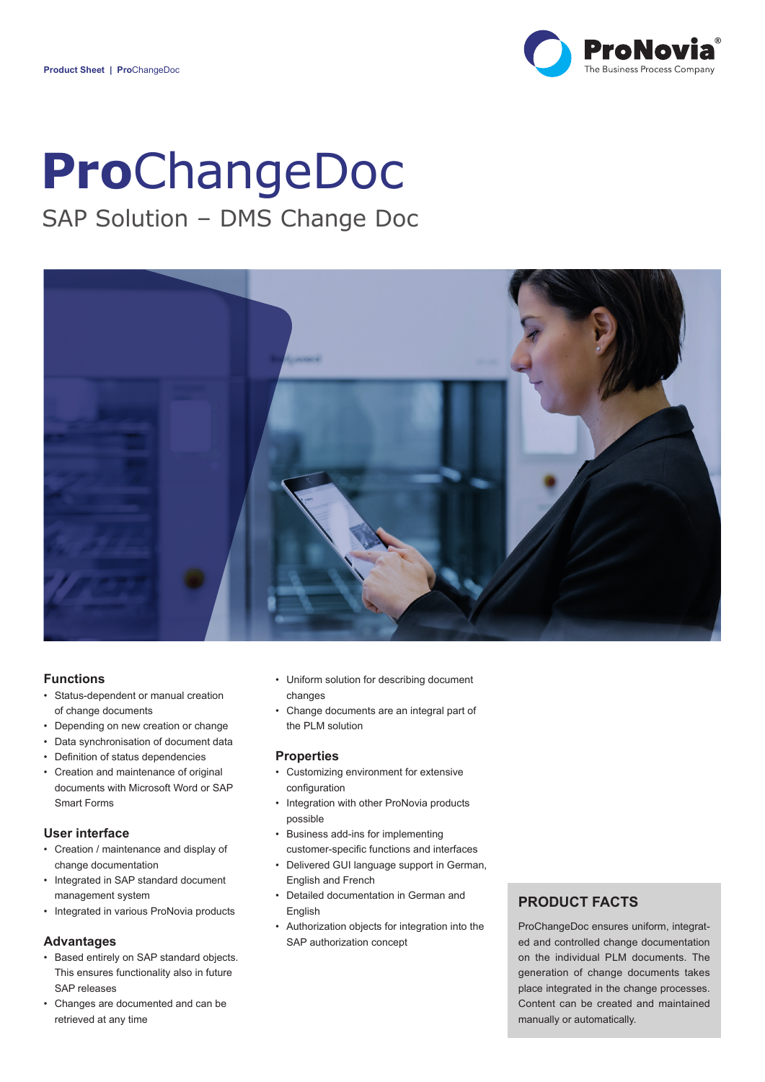

# **Pro**ChangeDoc

# SAP Solution – DMS Change Doc



### **Functions**

- Status-dependent or manual creation of change documents
- Depending on new creation or change
- Data synchronisation of document data
- Definition of status dependencies
- Creation and maintenance of original documents with Microsoft Word or SAP Smart Forms

## **User interface**

- Creation / maintenance and display of change documentation
- Integrated in SAP standard document management system
- Integrated in various ProNovia products

# **Advantages**

- Based entirely on SAP standard objects. This ensures functionality also in future SAP releases
- Changes are documented and can be retrieved at any time
- Uniform solution for describing document changes
- Change documents are an integral part of the PLM solution

#### **Properties**

- Customizing environment for extensive configuration
- Integration with other ProNovia products possible
- Business add-ins for implementing customer-specific functions and interfaces
- Delivered GUI language support in German, English and French
- Detailed documentation in German and English
- Authorization objects for integration into the SAP authorization concept

# **PRODUCT FACTS**

ProChangeDoc ensures uniform, integrated and controlled change documentation on the individual PLM documents. The generation of change documents takes place integrated in the change processes. Content can be created and maintained manually or automatically.